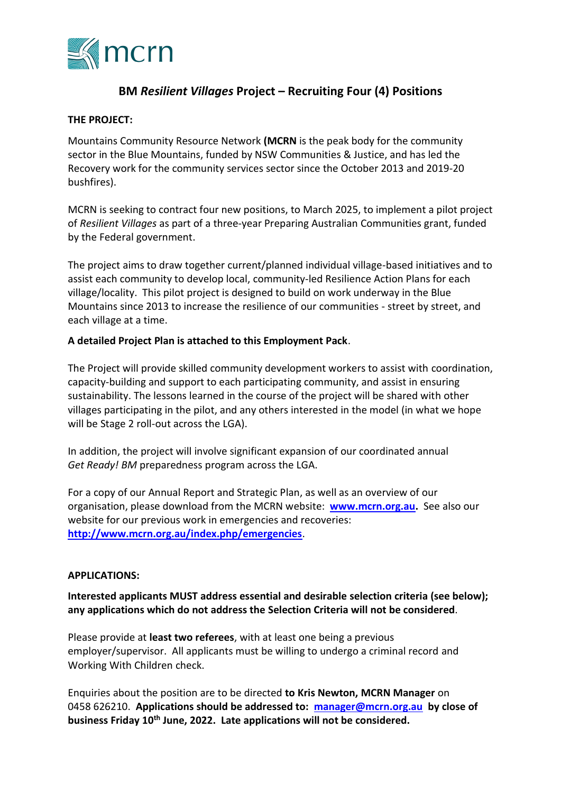

# **BM** *Resilient Villages* **Project – Recruiting Four (4) Positions**

### **THE PROJECT:**

Mountains Community Resource Network **(MCRN** is the peak body for the community sector in the Blue Mountains, funded by NSW Communities & Justice, and has led the Recovery work for the community services sector since the October 2013 and 2019-20 bushfires).

MCRN is seeking to contract four new positions, to March 2025, to implement a pilot project of *Resilient Villages* as part of a three-year Preparing Australian Communities grant, funded by the Federal government.

The project aims to draw together current/planned individual village-based initiatives and to assist each community to develop local, community-led Resilience Action Plans for each village/locality. This pilot project is designed to build on work underway in the Blue Mountains since 2013 to increase the resilience of our communities - street by street, and each village at a time.

## **A detailed Project Plan is attached to this Employment Pack**.

The Project will provide skilled community development workers to assist with coordination, capacity-building and support to each participating community, and assist in ensuring sustainability. The lessons learned in the course of the project will be shared with other villages participating in the pilot, and any others interested in the model (in what we hope will be Stage 2 roll-out across the LGA).

In addition, the project will involve significant expansion of our coordinated annual *Get Ready! BM* preparedness program across the LGA.

For a copy of our Annual Report and Strategic Plan, as well as an overview of our organisation, please download from the MCRN website: **[www.mcrn.org.au.](http://www.mcrn.org.au/)** See also our website for our previous work in emergencies and recoveries: **<http://www.mcrn.org.au/index.php/emergencies>**.

#### **APPLICATIONS:**

**Interested applicants MUST address essential and desirable selection criteria (see below); any applications which do not address the Selection Criteria will not be considered**.

Please provide at **least two referees**, with at least one being a previous employer/supervisor. All applicants must be willing to undergo a criminal record and Working With Children check.

Enquiries about the position are to be directed **to Kris Newton, MCRN Manager** on 0458 626210. **Applications should be addressed to: [manager@mcrn.org.au](mailto:manager@mcrn.org.au) by close of business Friday 10 th June, 2022. Late applications will not be considered.**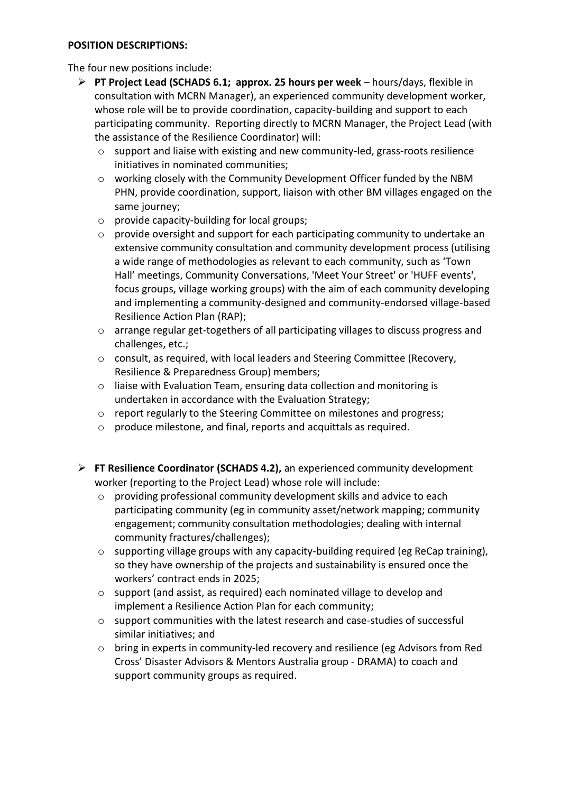#### **POSITION DESCRIPTIONS:**

The four new positions include:

- ➢ **PT Project Lead (SCHADS 6.1; approx. 25 hours per week** hours/days, flexible in consultation with MCRN Manager), an experienced community development worker, whose role will be to provide coordination, capacity-building and support to each participating community. Reporting directly to MCRN Manager, the Project Lead (with the assistance of the Resilience Coordinator) will:
	- o support and liaise with existing and new community-led, grass-roots resilience initiatives in nominated communities;
	- o working closely with the Community Development Officer funded by the NBM PHN, provide coordination, support, liaison with other BM villages engaged on the same journey;
	- o provide capacity-building for local groups;
	- o provide oversight and support for each participating community to undertake an extensive community consultation and community development process (utilising a wide range of methodologies as relevant to each community, such as 'Town Hall' meetings, Community Conversations, 'Meet Your Street' or 'HUFF events', focus groups, village working groups) with the aim of each community developing and implementing a community-designed and community-endorsed village-based Resilience Action Plan (RAP);
	- o arrange regular get-togethers of all participating villages to discuss progress and challenges, etc.;
	- o consult, as required, with local leaders and Steering Committee (Recovery, Resilience & Preparedness Group) members;
	- o liaise with Evaluation Team, ensuring data collection and monitoring is undertaken in accordance with the Evaluation Strategy;
	- o report regularly to the Steering Committee on milestones and progress;
	- o produce milestone, and final, reports and acquittals as required.
- ➢ **FT Resilience Coordinator (SCHADS 4.2),** an experienced community development worker (reporting to the Project Lead) whose role will include:
	- o providing professional community development skills and advice to each participating community (eg in community asset/network mapping; community engagement; community consultation methodologies; dealing with internal community fractures/challenges);
	- $\circ$  supporting village groups with any capacity-building required (eg ReCap training), so they have ownership of the projects and sustainability is ensured once the workers' contract ends in 2025;
	- o support (and assist, as required) each nominated village to develop and implement a Resilience Action Plan for each community;
	- o support communities with the latest research and case-studies of successful similar initiatives; and
	- o bring in experts in community-led recovery and resilience (eg Advisors from Red Cross' Disaster Advisors & Mentors Australia group - DRAMA) to coach and support community groups as required.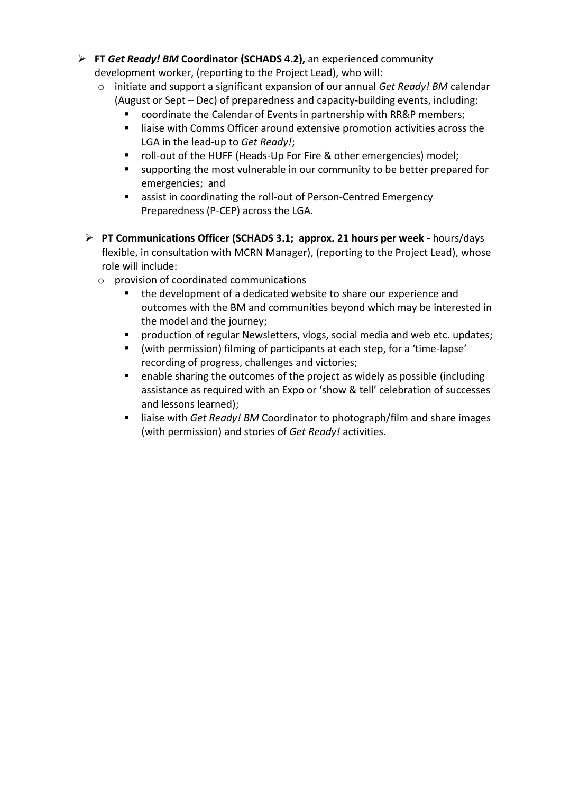- ➢ **FT** *Get Ready! BM* **Coordinator (SCHADS 4.2),** an experienced community development worker, (reporting to the Project Lead), who will:
	- o initiate and support a significant expansion of our annual *Get Ready! BM* calendar (August or Sept – Dec) of preparedness and capacity-building events, including:
		- coordinate the Calendar of Events in partnership with RR&P members;
		- liaise with Comms Officer around extensive promotion activities across the LGA in the lead-up to *Get Ready!*;
		- roll-out of the HUFF (Heads-Up For Fire & other emergencies) model;
		- supporting the most vulnerable in our community to be better prepared for emergencies; and
		- assist in coordinating the roll-out of Person-Centred Emergency Preparedness (P-CEP) across the LGA.
	- ➢ **PT Communications Officer (SCHADS 3.1; approx. 21 hours per week -** hours/days flexible, in consultation with MCRN Manager), (reporting to the Project Lead), whose role will include:
		- o provision of coordinated communications
			- the development of a dedicated website to share our experience and outcomes with the BM and communities beyond which may be interested in the model and the journey;
			- production of regular Newsletters, vlogs, social media and web etc. updates;
			- (with permission) filming of participants at each step, for a 'time-lapse' recording of progress, challenges and victories;
			- enable sharing the outcomes of the project as widely as possible (including assistance as required with an Expo or 'show & tell' celebration of successes and lessons learned);
			- liaise with *Get Ready! BM* Coordinator to photograph/film and share images (with permission) and stories of *Get Ready!* activities.